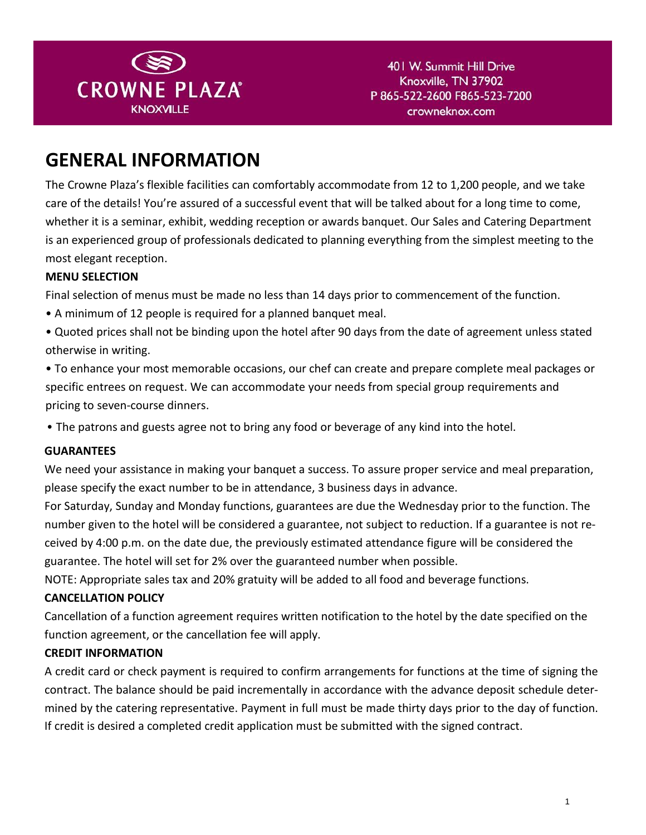

### **GENERAL INFORMATION**

The Crowne Plaza's flexible facilities can comfortably accommodate from 12 to 1,200 people, and we take care of the details! You're assured of a successful event that will be talked about for a long time to come, whether it is a seminar, exhibit, wedding reception or awards banquet. Our Sales and Catering Department is an experienced group of professionals dedicated to planning everything from the simplest meeting to the most elegant reception.

### **MENU SELECTION**

Final selection of menus must be made no less than 14 days prior to commencement of the function.

- A minimum of 12 people is required for a planned banquet meal.
- Quoted prices shall not be binding upon the hotel after 90 days from the date of agreement unless stated otherwise in writing.
- To enhance your most memorable occasions, our chef can create and prepare complete meal packages or specific entrees on request. We can accommodate your needs from special group requirements and pricing to seven-course dinners.
- The patrons and guests agree not to bring any food or beverage of any kind into the hotel.

### **GUARANTEES**

We need your assistance in making your banquet a success. To assure proper service and meal preparation, please specify the exact number to be in attendance, 3 business days in advance.

For Saturday, Sunday and Monday functions, guarantees are due the Wednesday prior to the function. The number given to the hotel will be considered a guarantee, not subject to reduction. If a guarantee is not received by 4:00 p.m. on the date due, the previously estimated attendance figure will be considered the guarantee. The hotel will set for 2% over the guaranteed number when possible.

NOTE: Appropriate sales tax and 20% gratuity will be added to all food and beverage functions.

### **CANCELLATION POLICY**

Cancellation of a function agreement requires written notification to the hotel by the date specified on the function agreement, or the cancellation fee will apply.

### **CREDIT INFORMATION**

A credit card or check payment is required to confirm arrangements for functions at the time of signing the contract. The balance should be paid incrementally in accordance with the advance deposit schedule determined by the catering representative. Payment in full must be made thirty days prior to the day of function. If credit is desired a completed credit application must be submitted with the signed contract.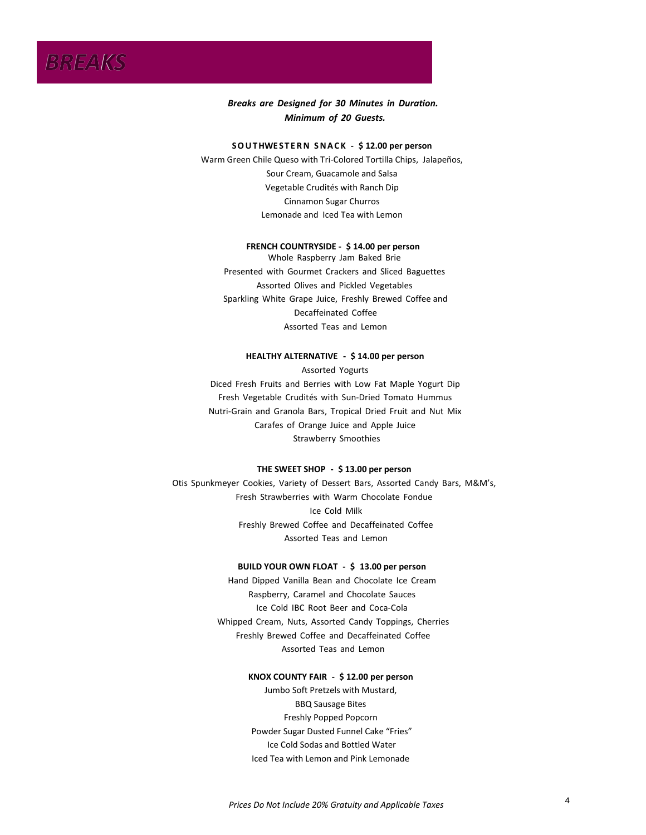# *BREAKS*

*Breaks are Designed for 30 Minutes in Duration. Minimum of 20 Guests.*

### **S O U T HWE S T E R N S N A C K - \$1.00 per ð per son**

Warm Green Chile Queso with Tortilla Chips, Jalapeños, Sour Cream, Guacamole and Salsa Vegetable Crudités with Ranch Dip Cinnamon Sugar Churros Lemonade and Iced Tea with Lemon

#### **FRENCH COUNTRYSIDE - \$ô00 per person**

Whole Raspberry Jam Baked Brie Presented with Gourmet Crackers and Sliced Baguettes Sparkling White Grape Juice, Freshly Brewed Coffee and Decaffeinated Coffee Assorted Teas and Lemon

### **HEALTHY ALTERNATIVE - \$1800 per person**

Assorted Yogurts Diced Fresh Fruits and Berries with Low Fat Maple Yogurt Dip Fresh Vegetable Crudités with Sun-Dried Tomato Hummus Nutri-Grain and Granola Bars, Tropical Dried Fruit and Nut Mix Carafes of Orange Juice and Apple Juice Strawberry Smoothies

### **THE SWEET SHOP - \$1.00 ñ per person**

Otis Spunkmeyer Cookies, Variety of Dessert Bars, Assorted Candy Bars, M&M's, Fresh Strawberries with Warm Chocolate Fondue Ice Cold Milk Freshly Brewed Coffee and Decaffeinated Coffee Assorted Teas and Lemon

### **BUILD YOUR OWN FLOAT - \$1.00 per person**

Hand Dipped Vanilla Bean and Chocolate Ice Cream Raspberry, Caramel and Chocolate Sauces Ice Cold Root Beer and Coca-Cola Whipped Cream, Nuts, Assorted Candy Toppings, Cherries Freshly Brewed Coffee and Decaffeinated Coffee Assorted Teas and Lemon

### **KNOX COUNTY FAIR - \$1.00 ð per person**

Jumbo Soft Pretzels with Mustard, BBQ Sausage Bites Freshly Popped Popcorn Powder Sugar Dusted Funnel Cake "Fries" Ice Cold Sodas and Bottled Water Iced Tea with Lemon and Pink Lemonade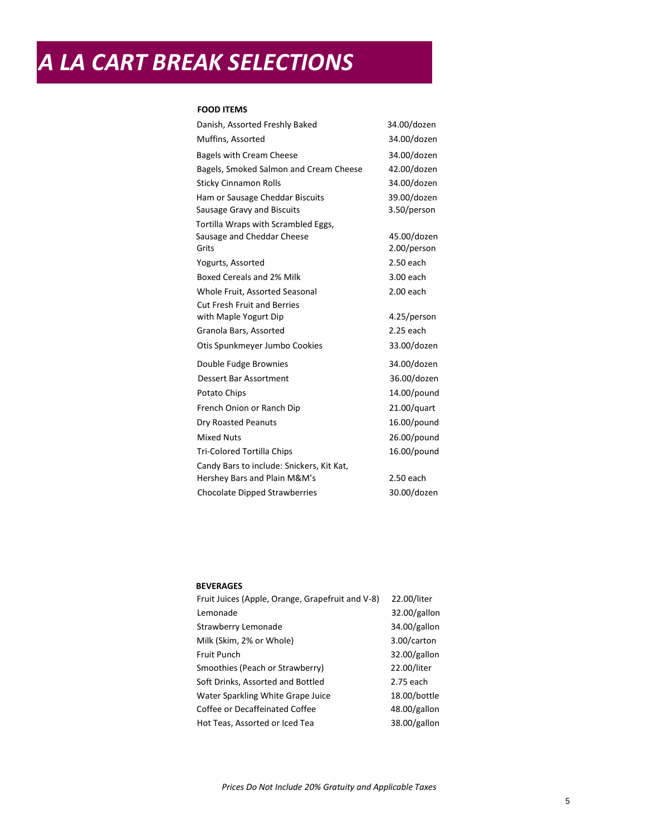# *A LA CART BREAK SELECTIONS*

### **FOOD ITEMS**

| Danish, Assorted Freshly Baked            | 34.00/dozen    |
|-------------------------------------------|----------------|
| Muffins, Assorted                         | 34.00/dozen    |
| <b>Bagels with Cream Cheese</b>           | 34.00/dozen    |
| Bagels, Smoked Salmon and Cream Cheese    | 42.00/dozen    |
| <b>Sticky Cinnamon Rolls</b>              | 34.00/dozen    |
| Ham or Sausage Cheddar Biscuits           | 39.00/dozen    |
| Sausage Gravy and Biscuits                | 3.50/person    |
| Tortilla Wraps with Scrambled Eggs,       |                |
| Sausage and Cheddar Cheese                | 45.00/dozen    |
| Grits                                     | 2.00/person    |
| Yogurts, Assorted                         | $2.50$ each    |
| Boxed Cereals and 2% Milk                 | 3.00 each      |
| Whole Fruit, Assorted Seasonal            | $2.00$ each    |
| <b>Cut Fresh Fruit and Berries</b>        |                |
| with Maple Yogurt Dip                     | 4.25/person    |
| Granola Bars, Assorted                    | $2.25$ each    |
| Otis Spunkmeyer Jumbo Cookies             | 33.00/dozen    |
| Double Fudge Brownies                     | 34.00/dozen    |
| <b>Dessert Bar Assortment</b>             | 36.00/dozen    |
| Potato Chips                              | 14.00/pound    |
| French Onion or Ranch Dip                 | $21.00$ /quart |
| Dry Roasted Peanuts                       | 16.00/pound    |
| <b>Mixed Nuts</b>                         | 26.00/pound    |
| <b>Tri-Colored Tortilla Chips</b>         | 16.00/pound    |
| Candy Bars to include: Snickers, Kit Kat, |                |
| Hershey Bars and Plain M&M's              | 2.50 each      |
| <b>Chocolate Dipped Strawberries</b>      | 30.00/dozen    |

### **BEVERAGES**

| Fruit Juices (Apple, Orange, Grapefruit and V-8) | 22.00/liter  |
|--------------------------------------------------|--------------|
| Lemonade                                         | 32.00/gallon |
| Strawberry Lemonade                              | 34.00/gallon |
| Milk (Skim, 2% or Whole)                         | 3.00/carton  |
| Fruit Punch                                      | 32.00/gallon |
| Smoothies (Peach or Strawberry)                  | 22.00/liter  |
| Soft Drinks, Assorted and Bottled                | 2.75 each    |
| Water Sparkling White Grape Juice                | 18.00/bottle |
| Coffee or Decaffeinated Coffee                   | 48.00/gallon |
| Hot Teas, Assorted or Iced Tea                   | 38.00/gallon |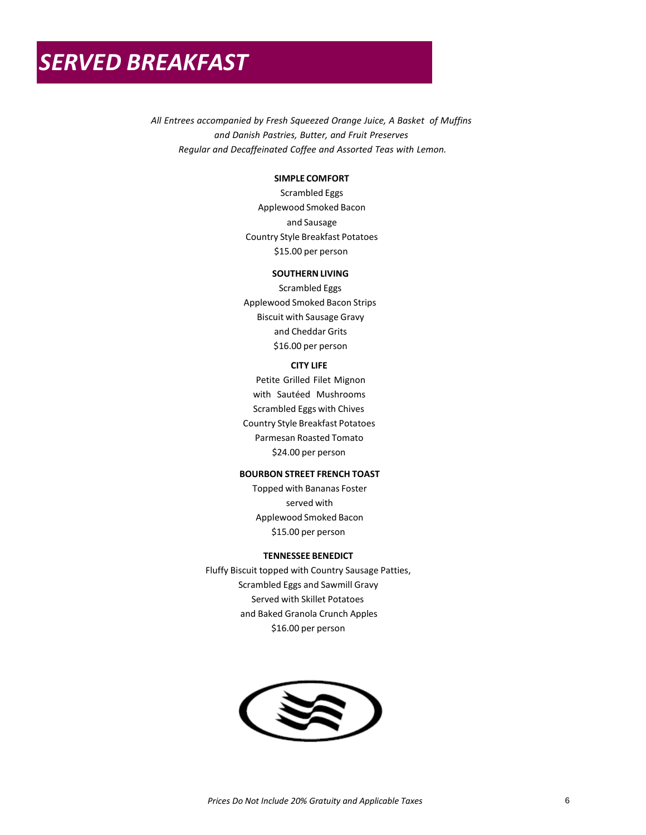*All Entrees accompanied by Orange Juice, A Basket of Muffins and Danish Pastries, Butter, and Fruit Preserves Regular and Decaffeinated Coffee and Assorted Teas with Lemon.*

### **SIMPLE COMFORT**

Scrambled Eggs Applewood Smoked Bacon and Sausage Country Style Breakfast Potatoes \$17.50 per person

### **SOUTHERN LIVING**

Scrambled Eggs Applewood Smoked Bacon Strips Biscuit with Sausage Gravy and Cheddar Grits \$18.00 per person

### **CITY LIFE**

Petite Grilled Filet Mignon with Sautéed Mushrooms Scrambled Eggs with Chives Country Style Breakfast Potatoes Parmesan Roasted Tomato \$25.50 per person

### **BOURBON STREET FRENCH TOAST**

Topped with Bananas Foster served with Applewood Smoked Bacon \$17.50 per person

### **TENNESSEE BENEDICT**

Fluffy Biscuit topped with Country Sausage Patties, Scrambled Eggs and Sawmill Gravy Served with Skillet Potatoes and Baked Granola Crunch Apples \$18.00 per person

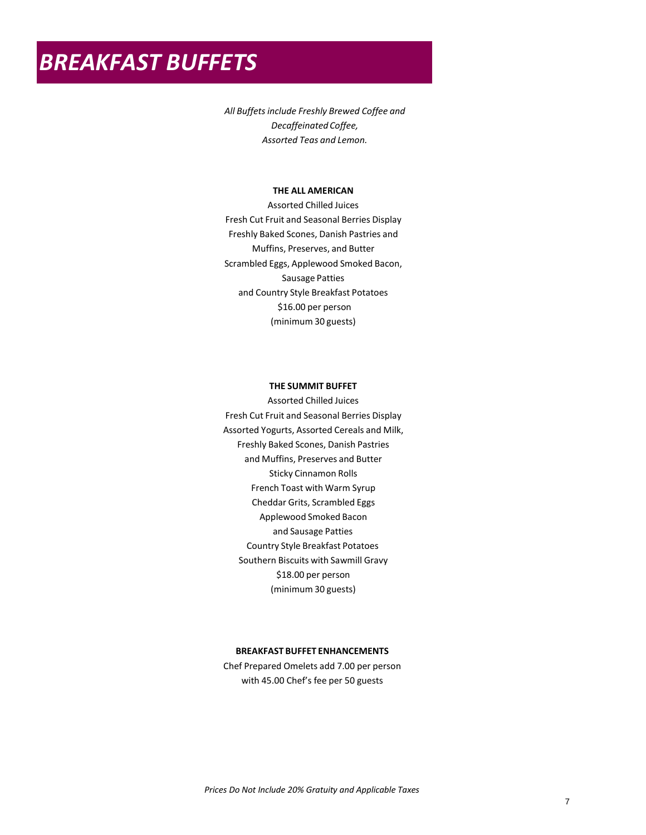### *BREAKFAST BUFFETS*

*All Buffets include Freshly Brewed Coffee and Decaffeinated Coffee, Assorted Teas and Lemon.*

### **THE ALL AMERICAN**

Apple, Orange & Cranberry Juice Fresh Cut Fruit and Seasonal Berries Display Freshly Baked Scones, Danish Pastries and Muffins, Preserves, and Butter Scrambled Eggs, Applewood Smoked Bacon, Sausage Patties and Country Style Breakfast Potatoes \$18.50 per person (minimum 30 guests)

### **THE SUMMIT BUFFET**

Apple, Orange & Cranberry Juice Fresh Cut Fruit and Seasonal Berries Display Assorted Yogurts, Assorted Cereals and Milk, Freshly Baked Scones, Danish Pastries and Muffins, Preserves and Butter Sticky Cinnamon Rolls French Toast with Warm Syrup Cheddar Grits, Scrambled Eggs Applewood Smoked Bacon and Sausage Patties Country Style Breakfast Potatoes Southern Biscuits with Sawmill Gravy \$20.50 per person (minimum 30 guests)

### **BREAKFAST BUFFET ENHANCEMENTS**

Chef Prepared Omelets add 8.00 per person with 45.00 Chef's fee per 50 guests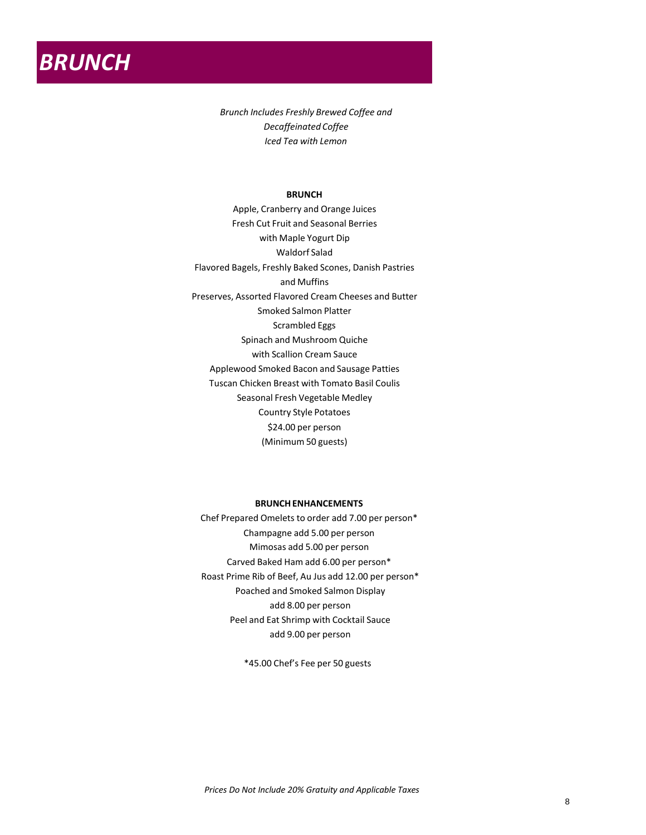

*Brunch Includes Freshly Brewed Coffee and Decaffeinated Coffee Iced Tea with Lemon*

### **BRUNCH**

Apple, Cranberry and Orange Juices Fresh Cut Fruit and Seasonal Berries with Maple Yogurt Dip Waldorf Salad Flavored Bagels, Freshly Baked Scones, Danish Pastries and Muffins Preserves, Assorted Flavored Cream Cheeses and Butter Smoked Salmon Platter Scrambled Eggs Spinach and Mushroom Quiche with Scallion Cream Sauce Applewood Smoked Bacon and Sausage Patties Tuscan Chicken Breast with Tomato Basil Coulis Seasonal Fresh Vegetable Medley Country Style Potatoes \$27.50 per person (Minimum 50 guests)

### **BRUNCH ENHANCEMENTS**

Chef Prepared Omelets to order add 8.00 per person\* Champagne add 6.50 per person Mimosas add 6.50 per person Carved Baked Ham add 7.00 per person\* Roast Prime Rib of Beef, Au Jus add 14.00 per person\* Poached and Smoked Salmon Display add 9.50 per person Peel and Eat Shrimp with Cocktail Sauce add 11.00 per person

\*45.00 Chef's Fee per 50 guests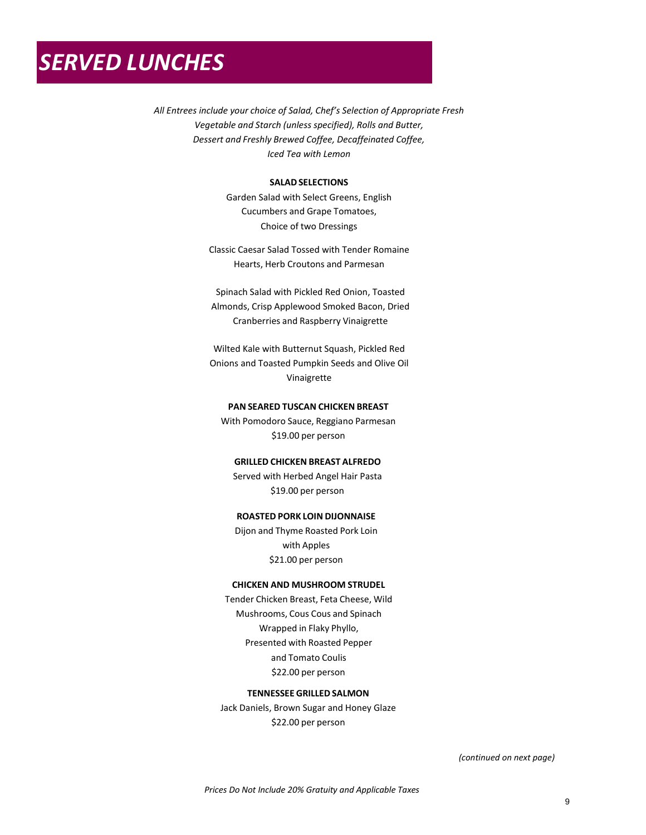# *SERVED LUNCHES*

*All Entrees include your choice of Salad, Chef's Selection of Appropriate Fresh Vegetable and Starch (unless specified), Rolls and Butter, Dessert and Freshly Brewed Coffee, Decaffeinated Coffee, Iced Tea with Lemon*

### **SALAD SELECTIONS**

Garden Salad with Select Greens, English Cucumbers and Grape Tomatoes, Choice of two Dressings

Classic Caesar Salad Tossed with Tender Romaine Hearts, Herb Croutons and Parmesan

Spinach Salad with Pickled Red Onion, Toasted Almonds, Crisp Smoked Bacon, Dried Cranberries and Raspberry Vinaigrette

Wilted Kale with Butternut Squash, Pickled Red Beets and Toasted Pumpkin Seeds and Olive Oil Vinaigrette

### **PAN SEARED TUSCAN CHICKEN BREAST**

With Pomodoro Sauce, Reggiano Parmesan \$21.50 per person

### **GRILLED CHICKEN BREAST ALFREDO**

Served with Herbed Angel Hair Pasta \$21.50 per person

### **ROASTED PORK LOIN DIJONNAISE**

Dijon and Thyme Roasted Pork Loin with Apple Demi Glace \$24.00 per person

### **CHICKEN AND MUSHROOM STRUDEL**

Tender Chicken Breast, Feta Cheese, Wild Mushrooms, Cous Cous and Spinach Wrapped in Flaky Phyllo, Presented with Roasted Pepper and Tomato Coulis \$24.50 per person

### **TENNESSEE GRILLED SALMON**

Jack Daniels, Brown Sugar and Honey Glaze \$24.50 per person

*(continued on next page)*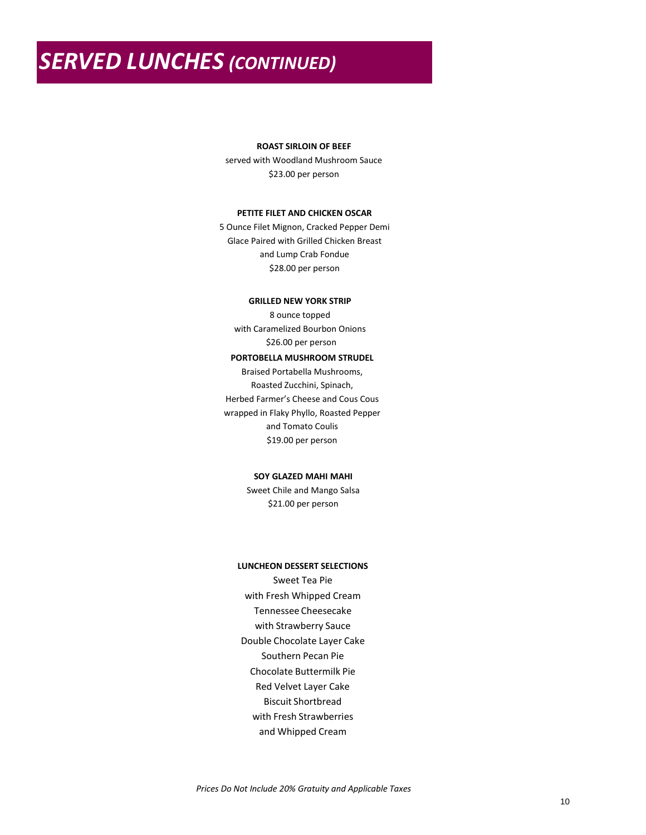### *SERVED LUNCHES (CONTINUED)*

### **ROAST SIRLOIN OF BEEF**

served with Woodland Mushroom Sauce \$24.50 per person

### **PETITE FILET AND CHICKEN OSCAR**

5 Ounce Filet Mignon, Cracked Pepper Demi Glace Paired with Grilled Chicken Breast and Lump Crab Fondue \$30.00 per person

### **GRILLED NEW YORK STRIP**

8 ounce topped with Caramelized Bourbon Onions \$26.00 per person

### **PORTOBELLA MUSHROOM STRUDEL**

Braised Portabella Mushrooms, Roasted Zucchini, Spinach, Herbed Farmer's Cheese and Cous Cous wrapped in Flaky Phyllo, Roasted Pepper and Tomato Coulis \$20.50 per person

### **SOY GLAZED MAHI MAHI**

Sweet Chile and Mango Salsa \$23.50 per person

### **LUNCHEON DESSERT SELECTIONS**

Tennessee Cheesecake with Strawberry Sauce Double Chocolate Layer Cake Southern Pecan Pie Carrot Cake with Cream Cheese Icing Red Velvet Layer Cake Biscuit Shortbread with Fresh Strawberries and Whipped Cream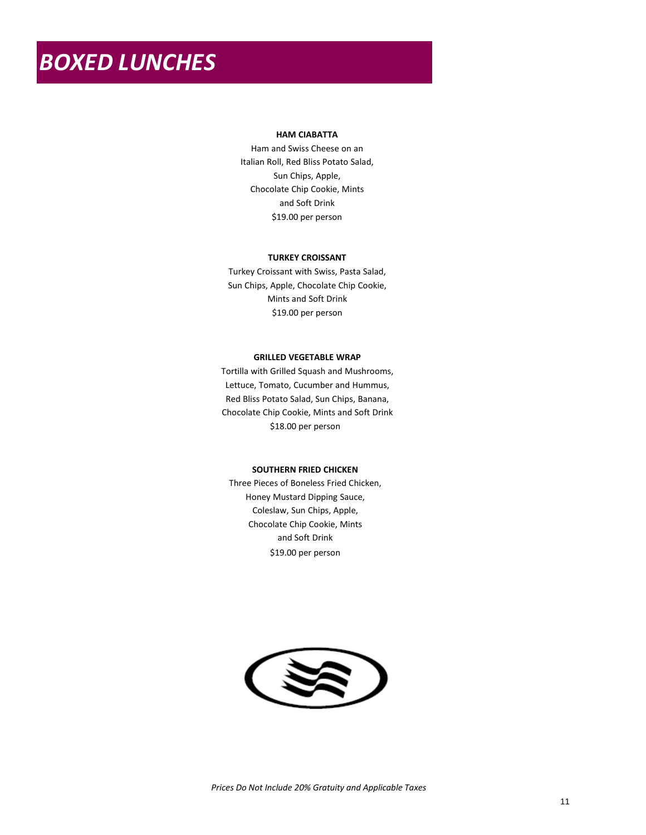# *BOXED LUNCHES*

### **HAM CIABATTA**

Ham and Swiss Cheese on an Italian Roll, Southern Potato Salad, Sun Chips, Apple, Chocolate Chip Cookie and Soft Drink \$19.00 per person

### **TURKEY CROISSANT**

Turkey Croissant with Swiss, Southern Potato Salad, Sun Chips, Apple, Chocolate Chip Cookie and Soft Drink \$19.00 per person

### **GRILLED VEGETABLE WRAP**

Tortilla with Grilled Squash and Mushrooms, Lettuce, Tomato, Cucumber and Hummus, Southern Potato Salad, Sun Chips, Banana, Chocolate Chip Cookie and Soft Drink \$18.00 per person

### **SOUTHERN FRIED CHICKEN**

Three Pieces of Boneless Fried Chicken, Honey Mustard Dipping Southern Potoato Salad Sun Chips, Apple, Chocolate Chip Cookie and Soft Drink \$19.00 per person

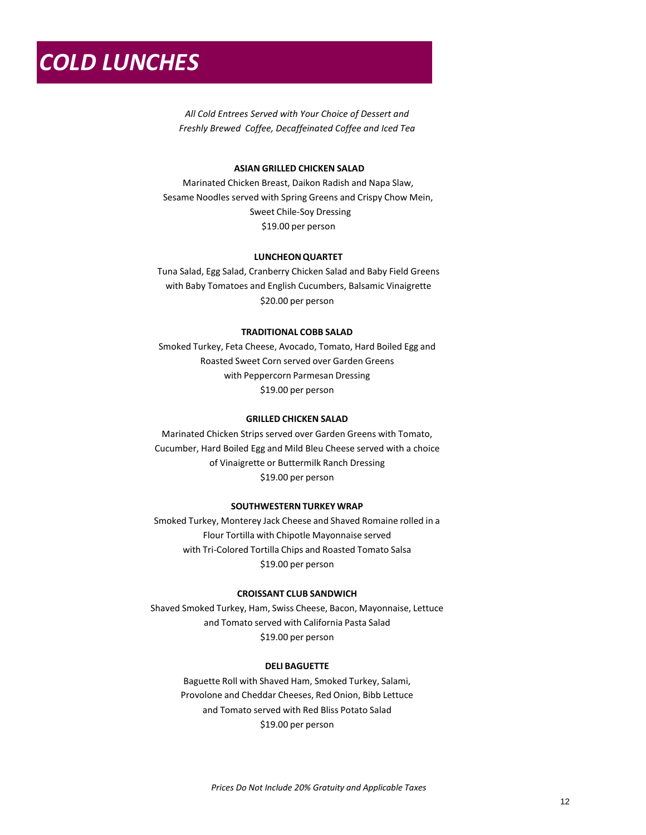*All Cold Entrees Served with Your Choice of Dessert and Freshly Brewed Coffee, Decaffeinated Coffee and Iced Tea*

### **LUNCHEON QUARTET**

Tuna Salad, Egg Salad, Cranberry Chicken Salad and Baby Field Greens with Baby Tomatoes and English Cucumbers, Balsamic Vinaigrette \$20.00 per person

### **TRADITIONAL COBB SALAD**

Smoked Turkey, Feta Cheese, Avocado, Tomato, Hard Boiled Egg and Roasted Sweet Corn served over Garden Greens with Peppercorn Parmesan Dressing \$19.00 per person

### **GRILLED CHICKEN SALAD**

Marinated Chicken Strips served over Garden Greens with Tomato, Cucumber, Hard Boiled Egg and Mild Bleu Cheese served with a choice of Vinaigrette or Buttermilk Ranch Dressing \$19.00 per person

### **SOUTHWESTERN TURKEY WRAP**

Smoked Turkey, Monterey Jack Cheese and Shaved Romaine rolled in a Flour Tortilla with Chipotle Mayonnaise served with Tortilla Chips and Roasted Tomato Salsa \$19.00 per person

### **CROISSANT CLUB SANDWICH**

Shaved Smoked Turkey, Ham, Swiss Cheese, Bacon, Mayonnaise, Lettuce and Tomato served with Italian Pasta Salad \$19.00 per person

### **DELI BAGUETTE**

Baguette Roll with Shaved Ham, Smoked Turkey, Salami, Provolone and Cheddar Cheeses, Red Onion, Bibb Lettuce and Tomato served with Southern Potato Salad \$19.00 per person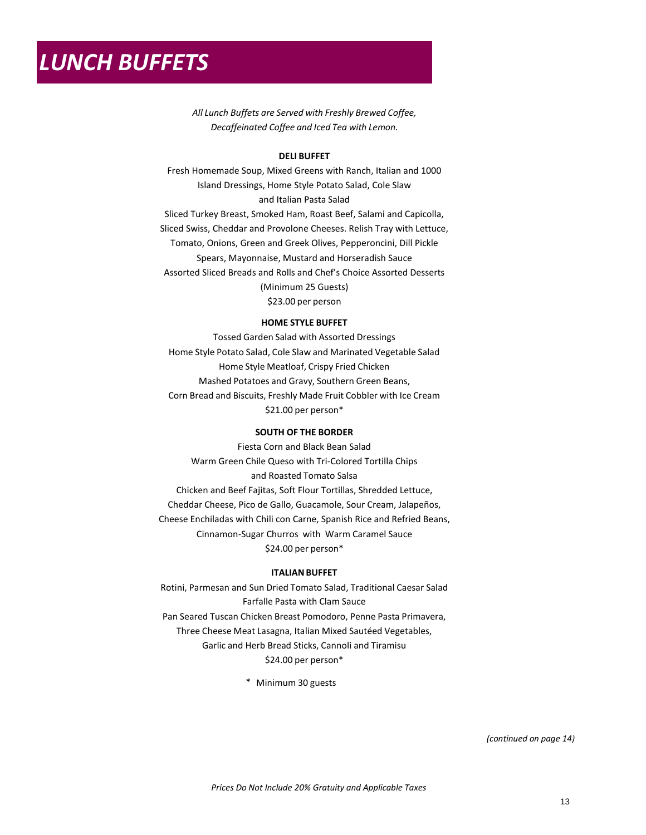*All Lunch Buffets are Served with Freshly Brewed Coffee, Decaffeinated Coffee and Iced Tea with Lemon.*

### **DELI BUFFET**

Fresh Homemade Soup, Mixed Greens with Ranch, Italian and 1000 Island Dressings, Home Style Potato Salad, Cole Slaw and Italian Pasta Salad

Sliced Turkey Breast, Smoked Ham, Roast Beef, Salami and Capicolla, Sliced Swiss, Cheddar and Provolone Cheeses. Relish Tray with Lettuce, Tomato, Onions, Green and Greek Olives, Pepperoncini, Dill Pickle Spears, Mayonnaise, Mustard and Horseradish Sauce Assorted Sliced Breads and Rolls and Chef's Choice Assorted Desserts (Minimum 25 Guests) \$25.00 per person

### **HOME STYLE BUFFET**

Tossed Garden Salad with Assorted Dressings Home Style Potato Salad, Cole Slaw and Tomato & Cuccumber Salad Home Style Meatloaf, Crispy Fried Chicken Mashed Potatoes and Gravy, Southern Green Beans, Corn Bread and Biscuits, Freshly Made Fruit Cobbler with Ice Cream \$23.50 per person\*

### **SOUTH OF THE BORDER**

Fiesta Corn and Black Bean Salad Warm Green Chile Queso with Tortilla Chips and Roasted Tomato Salsa Chicken and Beef Fajitas, Soft Flour Tortillas, Shredded Lettuce, Cheddar Cheese, Pico de Gallo, Guacamole, Sour Cream, Jalapeños, Cheese Enchiladas with Chili con Carne, Spanish Rice and Refried Beans, Cinnamon-Sugar Churros with Warm Caramel Sauce \$26.50 per person\*

### **ITALIAN BUFFET**

Rotini, Parmesan and Sun Dried Tomato Salad, Traditional Caesar Salad Farfalle Pasta with Clam Sauce Pan Seared Tuscan Chicken Breast Pomodoro, Penne Pasta Primavera, Three Cheese Meat Lasagna, Italian Mixed Sautéed Vegetables, Garlic Toast, Cannoli and Tiramisu \$26.50 per person\*

\* Minimum 30 guests

*(continued on page 14)*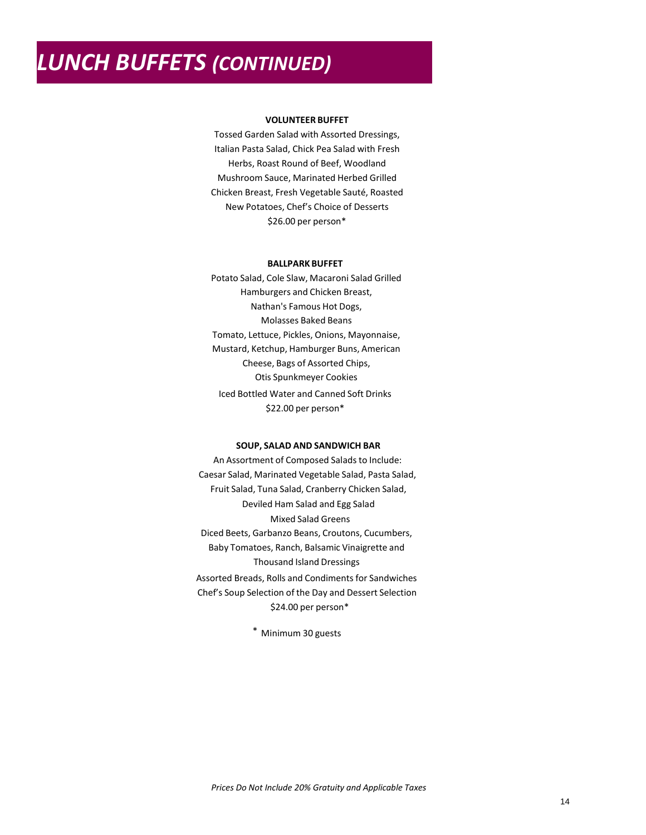# *LUNCH BUFFETS (CONTINUED)*

### **VOLUNTEER BUFFET**

Tossed Garden Salad with Assorted Dressings, Italian Pasta Salad, Chick Pea Salad with Fresh Herbs, Roast Round of Beef, Woodland Mushroom Sauce, Marinated Herbed Grilled Chicken Breast, Fresh Vegetable Sauté, Roasted New Potatoes, Chef's Choice of Desserts \$28.50 per person\*

#### **BALLPARK BUFFET**

Potato Salad, Cole Slaw, Macaroni Salad Grilled Hamburgers and Chicken Breast, Nathan's Famous Hot Dogs, Molasses Baked Beans Tomato, Lettuce, Pickles, Onions, Mayonnaise, Mustard, Ketchup, Hamburger Buns, American Cheese, Bags of Assorted Chips, Otis Spunkmeyer Cookies Iced Bottled Water and Canned Soft Drinks \$24.00 per person\*

### **SOUP, SALAD AND SANDWICH BAR**

An Assortment of Composed Salads to Include: Caesar Salad, Marinated Vegetable Salad, Pasta Salad, Fruit Salad, Tuna Salad, Cranberry Chicken Salad, Deviled Ham Salad and Egg Salad Mixed Salad Greens Diced Beets, Garbanzo Beans, Croutons, Cucumbers, Baby Tomatoes, Ranch, Balsamic Vinaigrette and Thousand Island Dressings Assorted Breads, Rolls and Condiments for Sandwiches Chef's Soup Selection of the Day and Dessert Selection \$26.50 per person\*

\* Minimum 30 guests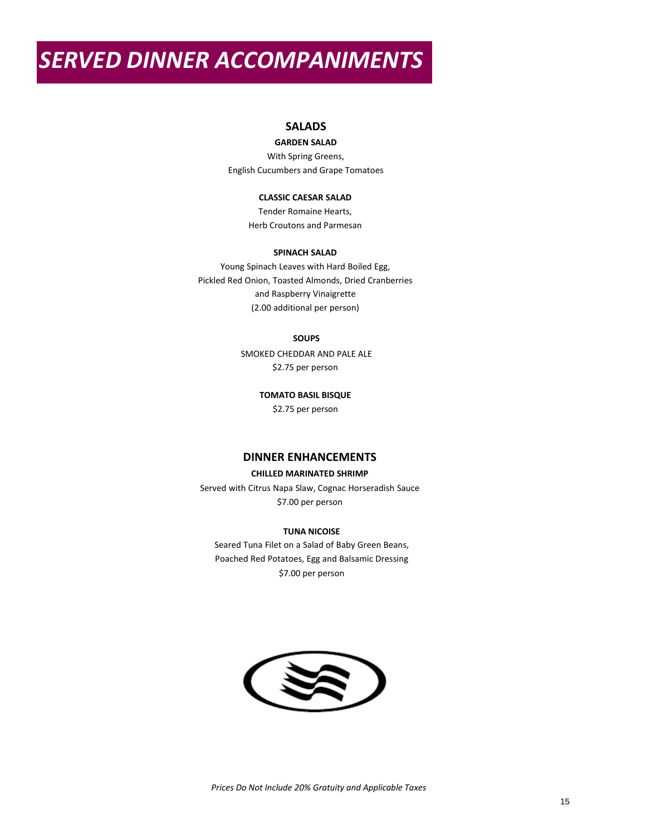## *SERVED DINNER ACCOMPANIMENTS*

### **SALADS**

### **GARDEN SALAD**

With Spring Greens, English Cucumbers and Grape Tomatoes

### **CLASSIC CAESAR SALAD**

Tender Romaine Hearts, Herb Croutons and Parmesan

### **SPINACH SALAD**

Young Spinach Leaves with Hard Boiled Egg, Pickled Red Onion, Toasted Almonds, Dried Cranberries and Raspberry Vinaigrette (2.00 additional per person)

### **SOUPS**

SMOKED CHEDDAR AND PALE ALE \$2.75 per person

**TOMATO BASIL BISQUE**

\$2.75 per person

### **DINNER ENHANCEMENTS**

### **CHILLED MARINATED SHRIMP**

Served with Citrus Napa Slaw, Cognac Horseradish Sauce \$8.50 per person

### **TUNA NICOISE**

Seared Tuna Filet on a Salad of Baby Green Beans, Poached Red Potatoes, Egg and Balsamic Dressing \$8.50 per person

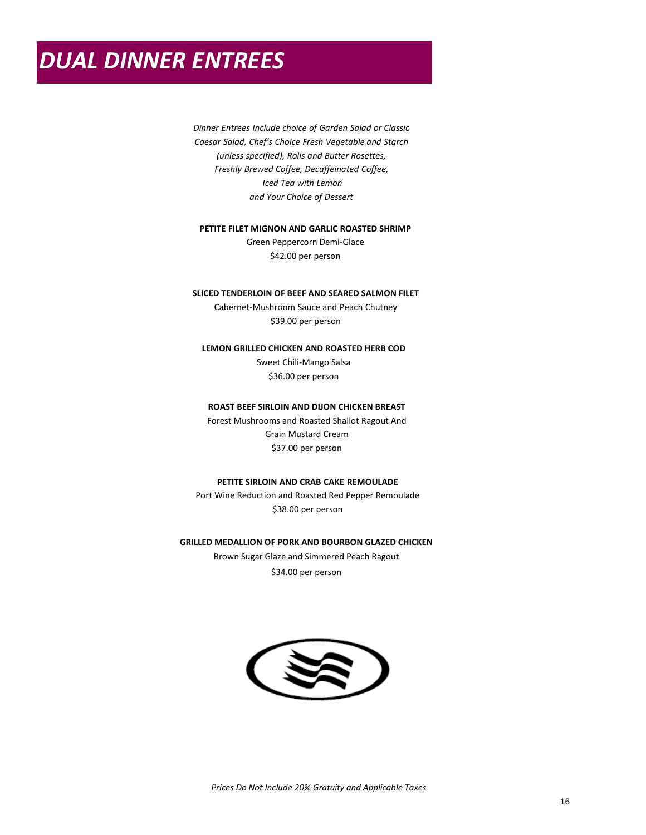### *DUAL DINNER ENTREES*

*Dinner Entrees Include choice of Garden Salad or Classic Caesar Salad, Chef's Choice Fresh Vegetable and Starch (unless specified), Rolls and Butter Rosettes, Freshly Brewed Coffee, Decaffeinated Coffee, Iced Tea with Lemon and Your Choice of Dessert*

### **PETITE FILET MIGNON AND GARLIC ROASTED SHRIMP**

Green Peppercorn Demi-Glace \$46.00 per person

### **SLICED TENDERLOIN OF BEEF AND SEARED SALMON FILET**

Cabernet-Mushroom Sauce and Peach Chutney \$43.00 per person

### **LEMON GRILLED CHICKEN AND ROASTED HERB COD**

Sweet Chili-Mango Salsa \$40.00 per person

### **ROAST BEEF SIRLOIN AND DIJON CHICKEN BREAST**

Forest Mushrooms and Roasted Shallot Ragout \$41.00 per person

### **PETITE SIRLOIN AND CRAB CAKE REMOULADE**

Port Wine Reduction and Roasted Red Pepper Remoulade \$40.50 per person

### **GRILLED MEDALLION OF PORK AND BOURBON GLAZED CHICKEN**

Brown Sugar Glaze and Simmered Peach Ragout \$36.50 per person

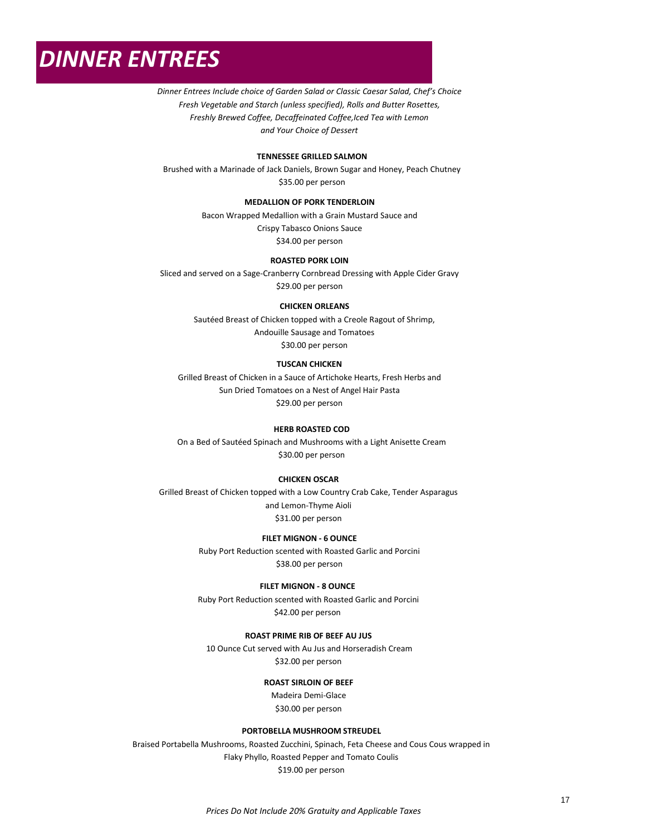### *DINNER ENTREES*

*Dinner Entrees Include choice of Garden Salad or Classic Caesar Salad, Chef's Choice Fresh Vegetable and Starch (unless specified), Rolls and Butter Rosettes, Freshly Brewed Coffee, Decaffeinated Coffee,Iced Tea with Lemon and Your Choice of Dessert*

### **TENNESSEE GRILLED SALMON**

Brushed with a Marinade of Jack Daniels, Brown Sugar and Honey, Peach Chutney \$38.00 per person

### **MEDALLION OF PORK TENDERLOIN**

Bacon Wrapped Medallion with a Grain Mustard Sauce and Crispy Tabasco Onions Sauce \$37.00 per person

### **ROASTED PORK LOIN**

Sliced and served on a Sage-Cranberry Cornbread Dressing with Apple Cider Gravy \$32.50 per person

### **CHICKEN ORLEANS**

Sautéed Breast of Chicken topped with a Creole Ragout of Shrimp, Andouille Sausage and Tomatoes \$33.00 per person

### **TUSCAN CHICKEN**

Grilled Breast of Chicken in a Sauce of Artichoke Hearts, Fresh Herbs and Sun Dried Tomatoes on a Nest of Angel Hair Pasta \$32.50 per person

### **HERB ROASTED COD**

On a Bed of Sautéed Spinach and Mushrooms with a Light Anisette Cream \$33.00 per person

#### **CHICKEN OSCAR**

Grilled Breast of Chicken topped with a Low Country Crab Cake, Tender Asparagus and Lemon-Thyme Aioli \$34.00 per person

### **FILET MIGNON - 6 OUNCE**

Ruby Port Reduction scented with Roasted Garlic and Porcini \$39.50 per person

#### **FILET MIGNON - 8 OUNCE**

Ruby Port Reduction scented with Roasted Garlic and Porcini \$44.50 per person

### **ROAST PRIME RIB OF BEEF AU JUS**

10 Ounce Cut served with Au Jus and Horseradish Cream \$36.00 per person

#### **ROAST SIRLOIN OF BEEF**

Madeira Demi-Glace \$33.00 per person

#### **PORTOBELLA MUSHROOM STREUDEL**

Braised Portabella Mushrooms, Roasted Zucchini, Spinach, Feta Cheese and Cous Cous wrapped in Flaky Phyllo, Roasted Pepper and Tomato Coulis \$22.50 per person

*Prices Do Not Include 20% Gratuity and Applicable Taxes*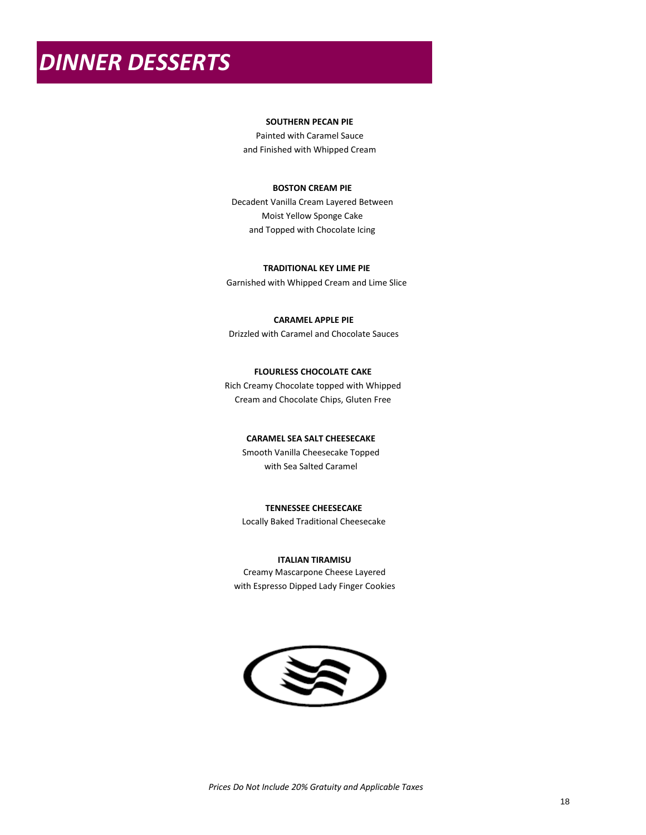# *DINNER DESSERTS*

### **SOUTHERN PECAN PIE**

Painted with Caramel Sauce and Finished with Whipped Cream

### **BOSTON CREAM PIE**

Decadent Vanilla Cream Layered Between Moist Yellow Sponge Cake and Topped with Chocolate Icing

### **TRADITIONAL KEY LIME PIE**

Garnished with Whipped Cream and Lime Slice

### **CARAMEL APPLE PIE**

Drizzled with Caramel and Chocolate Sauces

### **FLOURLESS CHOCOLATE CAKE**

Rich Creamy Chocolate topped with Whipped Cream and Chocolate Chips, Gluten Free

### **CARAMEL SEA SALT CHEESECAKE**

Smooth Vanilla Cheesecake Topped with Sea Salted Caramel

### **TENNESSEE CHEESECAKE**

Locally Baked Traditional Cheesecake

### **ITALIAN TIRAMISU**

Creamy Mascarpone Cheese Layered with Espresso Dipped Lady Finger Cookies

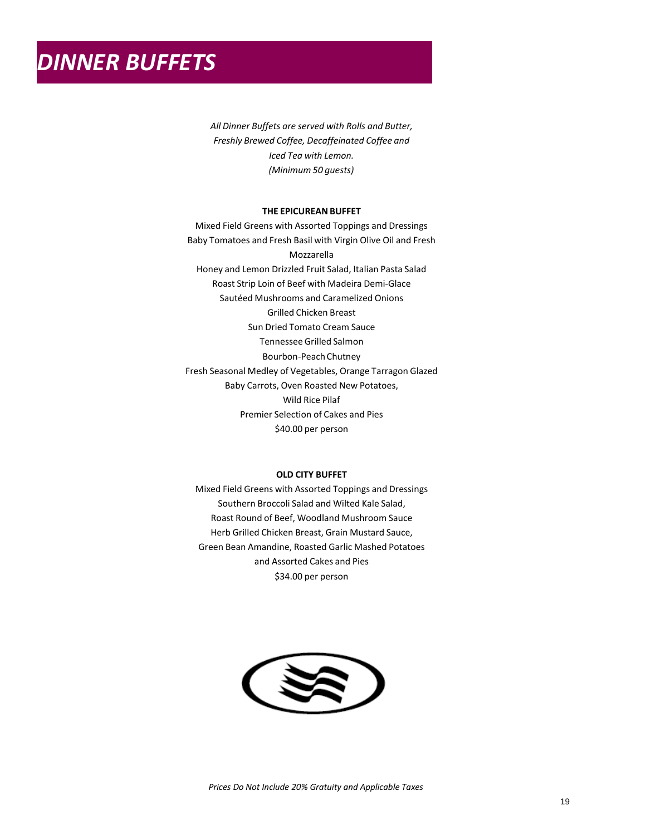*All Dinner Buffets are served with Rolls and Butter, Freshly Brewed Coffee, Decaffeinated Coffee and Iced Tea with Lemon. (Minimum 50 guests)*

### **THE EPICUREAN BUFFET**

Mixed Field Greens with Assorted Toppings and Dressings Baby Tomatoes and Fresh Basil with Virgin Olive Oil and Fresh Mozzarella Honey and Lemon Drizzled Fruit Salad, Italian Pasta Salad Roast Strip Loin of Beef with Madeira Demi-Glace Sautéed Mushrooms and Caramelized Onions Grilled Chicken Breast Sun Dried Tomato Cream Sauce Tennessee Grilled Salmon Bourbon-Peach Chutney Fresh Seasonal Medley of Vegetables, Orange Tarragon Glazed Baby Carrots, Oven Roasted New Potatoes, Wild Rice Pilaf Premier Selection of Cakes and Pies \$44.00 per person

#### **OLD CITY BUFFET**

Mixed Field Greens with Assorted Toppings and Dressings Southern Broccoli Salad and Wilted Kale Salad, Roast Round of Beef, Woodland Mushroom Sauce Herb Grilled Chicken Breast, Grain Mustard Sauce, Green Bean Amandine, Roasted Garlic Mashed Potatoes and Assorted Cakes and Pies \$38.00 per person

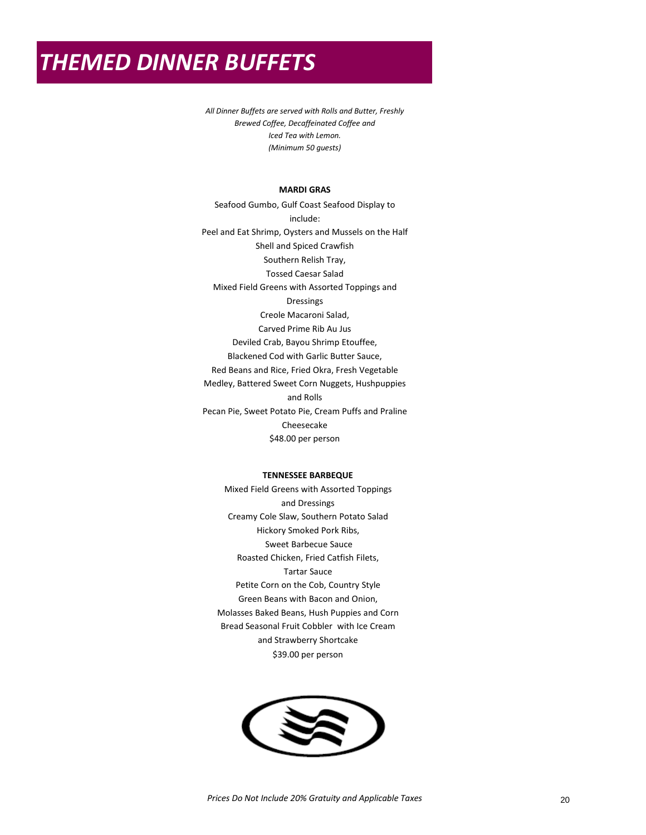### *THEMED DINNER BUFFETS*

*All Dinner Buffets are served with Rolls and Butter, Freshly Brewed Coffee, Decaffeinated Coffee and Iced Tea with Lemon. (Minimum 50 guests)*

### **MARDI GRAS**

Seafood Gumbo, Gulf Coast Seafood Display to include: Peel and Eat Shrimp, Oysters and Mussels on the Half Shell and Spiced Crawfish Southern Relish Tray, Tossed Caesar Salad Mixed Field Greens with Assorted Toppings and Dressings Creole Macaroni Salad, Carved Prime Rib Au Jus Deviled Crab, Bayou Shrimp Etouffee, Blackened Cod with Garlic Butter Sauce, Red Beans and Rice, Fried Okra, Fresh Vegetable Medley, Battered Sweet Corn Nuggets, Hushpuppies and Rolls Pecan Pie, Sweet Potato Pie, Cream Puffs and Praline Cheesecake \$56.00 per person

### **TENNESSEE BARBEQUE**

Mixed Field Greens with Assorted Toppings and Dressings Creamy Cole Slaw, Southern Potato Salad Hickory Smoked Pork Ribs, Sweet Barbecue Sauce Roasted Chicken, Fried Catfish Filets with Hushpuppies and Tartar Sauce Petite Corn on the Cob, Country Style Green Beans with Bacon and Onion, Molasses Baked Beans, Seasonal Fruit Cobbler with Ice Cream and Strawberry Shortcake \$43.00 per person

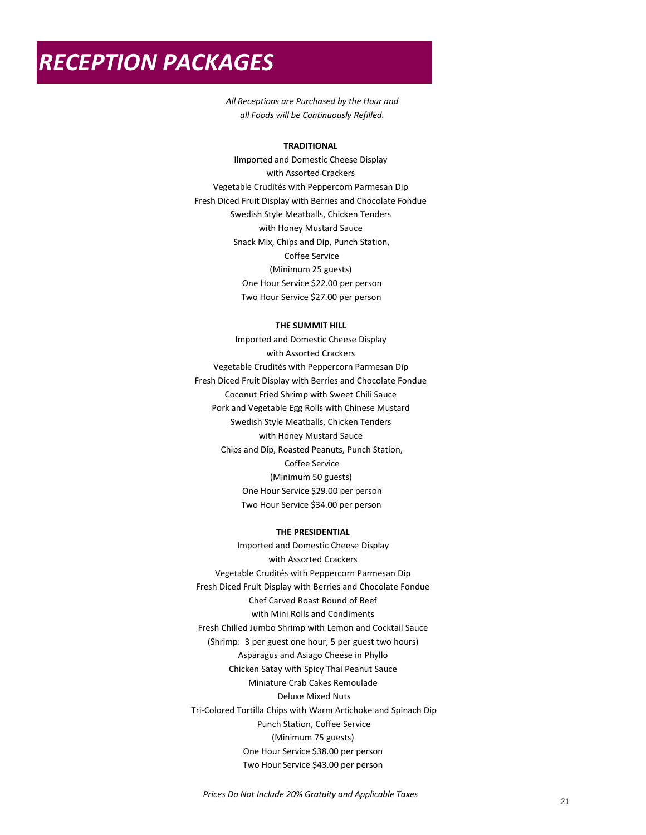### *RECEPTION PACKAGES*

*All Receptions are Purchased by the Hour and all Foods will be Continuously Refilled.*

### **TRADITIONAL**

IImported and Domestic Cheese Display with Assorted Crackers Vegetable Crudités with Peppercorn Parmesan Dip Fresh Diced Fruit Display with Berries Swedish Style Meatballs, Chicken Tenders with Honey Mustard Sauce Snack Mix, Chips and Dip, Punch Station, Coffee Service (Minimum 25 guests) One Hour Service \$22.00 per person Two Hour Service \$27.00 per person

### **THE SUMMIT HILL**

Imported and Domestic Cheese Display with Assorted Crackers Vegetable Crudités with Peppercorn Parmesan Dip Fresh Diced Fruit Display with Berries Coconut Fried Shrimp with Sweet Chili Sauce Pork and Vegetable Egg Rolls with Chinese Mustard Swedish Style Meatballs, Chicken Tenders with Honey Mustard Sauce Chips and Dip, Roasted Peanuts, Punch Station, Coffee Service (Minimum 50 guests) One Hour Service \$29.00 per person Two Hour Service \$34.00 per person

### **THE PRESIDENTIAL**

Imported and Domestic Cheese Display with Assorted Crackers Vegetable Crudités with Peppercorn Parmesan Dip Fresh Diced Fruit Display with Berries Chef Carved Roast Round of Beef with Mini Rolls and Condiments Fresh Chilled Jumbo Shrimp with Lemon and Cocktail Sauce (Shrimp: 3 per guest one hour, 5 per guest two hours) Asparagus and Asiago Cheese in Phyllo Chicken Satay with Spicy Thai Peanut Sauce Miniature Crab Cakes Remoulade Deluxe Mixed Nuts Tri-Colored Tortilla Chips with Warm Artichoke and Spinach Dip Punch Station, Coffee Service (Minimum 75 guests) One Hour Service \$38.00 per person Two Hour Service \$43.00 per person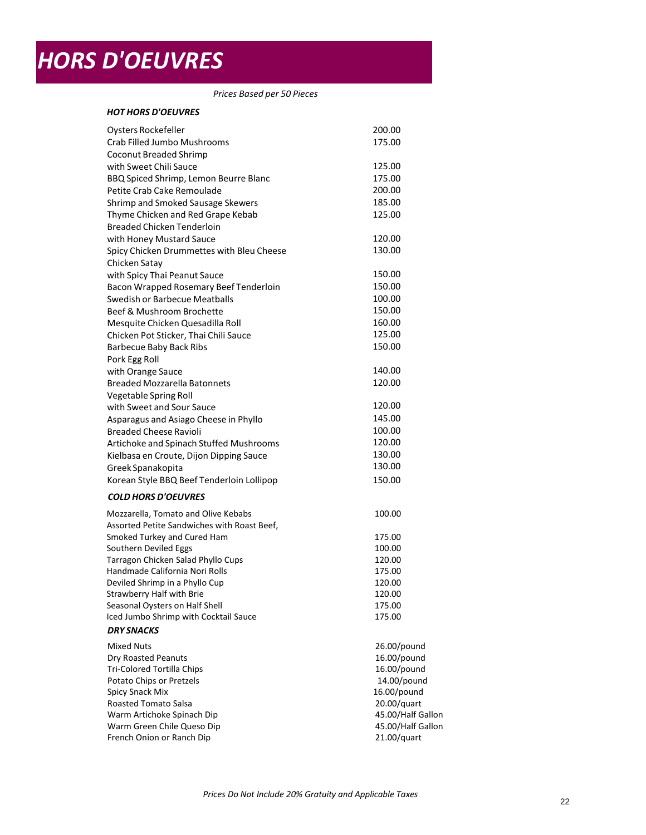# *HORS D'OEUVRES*

*Prices Based per 50 Pieces*

### *HOT HORS D'OEUVRES*

| Oysters Rockefeller                                                    | 200.00            |
|------------------------------------------------------------------------|-------------------|
| Crab Filled Jumbo Mushrooms                                            | 175.00            |
| Coconut Breaded Shrimp                                                 |                   |
| with Sweet Chili Sauce                                                 | 125.00            |
| BBQ Spiced Shrimp, Lemon Beurre Blanc                                  | 175.00            |
| Petite Crab Cake Remoulade                                             | 200.00            |
| Thyme Chicken and Red Grape Kebab                                      | 125.00            |
| <b>Breaded Chicken Tenderloin</b>                                      |                   |
| with Honey Mustard Sauce                                               | 120.00            |
| Spicy Chicken Drummettes with Bleu                                     | 130.00            |
| Cheese Chicken Satay                                                   |                   |
| with Spicy Thai Peanut Sauce                                           | 150.00            |
| Bacon Wrapped Rosemary Beef Tenderloin                                 | 150.00            |
| Swedish or Barbecue Meatballs                                          | 100.00            |
| Beef & Mushroom Brochette                                              | 150.00            |
| Mesquite Chicken Quesadilla Roll                                       | 160.00            |
| Chicken Pot Sticker, Thai Chili Sauce                                  | 125.00            |
| <b>Barbecue Baby Back Ribs</b>                                         | 150.00            |
| Pork Egg Roll                                                          |                   |
| with Orange Sauce                                                      | 140.00            |
| <b>Breaded Mozzarella Batonnets</b>                                    | 120.00            |
|                                                                        |                   |
| Vegetable Spring Roll<br>with Sweet and Sour Sauce                     | 120.00            |
|                                                                        | 145.00            |
| Asparagus and Asiago Cheese in Phyllo<br><b>Breaded Cheese Ravioli</b> |                   |
| Artichoke and Spinach Stuffed Mushrooms                                | 100.00<br>120.00  |
|                                                                        | 130.00            |
| Kielbasa en Croute, Dijon Dipping Sauce                                |                   |
| Greek Spanakopita                                                      | 130.00            |
| Korean Style BBQ Beef Tenderloin Lollipop                              | 150.00            |
| <b>COLD HORS D'OEUVRES</b>                                             |                   |
| Mozzarella, Tomato and Olive Kebabs                                    | 100.00            |
| Assorted Petite Sandwiches with Roast Beef,                            |                   |
| Smoked Turkey and Cured Ham                                            | 175.00            |
| Southern Deviled Eggs                                                  | 100.00            |
| Tarragon Chicken Salad Phyllo Cups                                     | 120.00            |
| Handmade California Nori Rolls                                         | 175.00            |
| Deviled Shrimp in a Phyllo Cup                                         | 120.00            |
| Strawberry Half with Brie                                              | 120.00            |
| Seasonal Oysters on Half Shell                                         | 175.00            |
| Iced Jumbo Shrimp with Cocktail Sauce                                  | 175.00            |
| <b>DRY SNACKS</b>                                                      |                   |
| <b>Mixed Nuts</b>                                                      | 26.00/pound       |
| Dry Roasted Peanuts                                                    | 16.00/pound       |
| <b>Tortilla Chips</b>                                                  | 16.00/pound       |
| Potato Chips or Pretzels                                               | 14.00/pound       |
| Spicy Snack Mix                                                        | 16.00/pound       |
| Roasted Tomato Salsa Warm                                              | 20.00/quart       |
| Artichoke Spinach Dip Warm                                             | 45.00/Half Gallon |
| Green Chile Queso Dip                                                  | 45.00/Half Gallon |
| French Onion or Ranch Dip                                              | 21.00/quart       |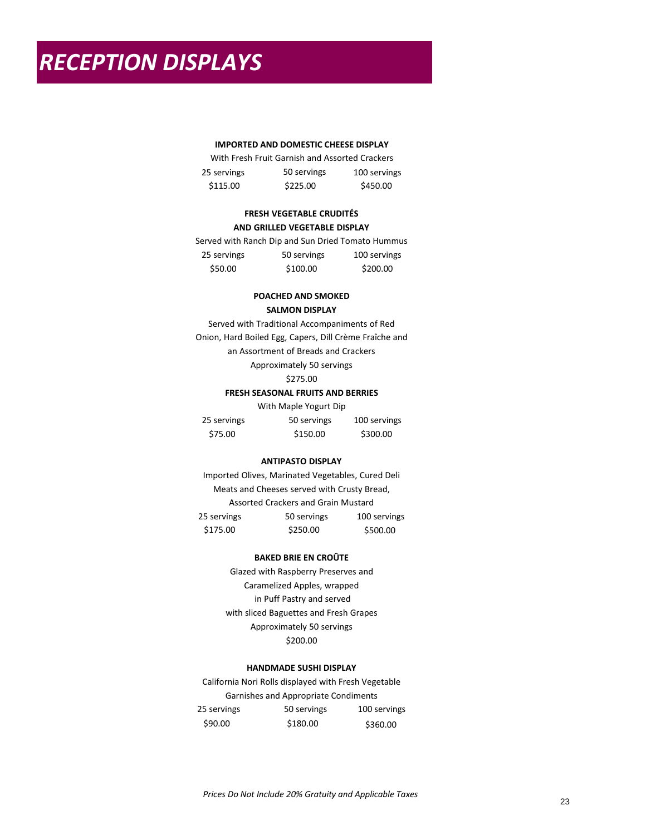### **IMPORTED AND DOMESTIC CHEESE DISPLAY**

|             | With Fresh Fruit Garnish and Assorted Crackers |              |
|-------------|------------------------------------------------|--------------|
| 25 servings | 50 servings                                    | 100 servings |
| \$115.00    | \$225.00                                       | \$450.00     |

### **FRESH VEGETABLE CRUDITÉS AND GRILLED VEGETABLE DISPLAY**

|             | Served with Ranch Dip and Sun Dried Tomato Hummus |              |
|-------------|---------------------------------------------------|--------------|
| 25 servings | 50 servings                                       | 100 servings |
| \$50.00     | \$100.00                                          | \$200.00     |

### **POACHED AND SMOKED SALMON DISPLAY**

Served with Traditional Accompaniments of Red Onion, Hard Boiled Egg, Capers, Dill Crème Fraîche and an Assortment of Breads and Crackers Approximately 50 servings \$275.00

### **FRESH SEASONAL FRUITS AND BERRIES**

With Maple Yogurt Dip

| 25 servings | 50 servings | 100 servings |
|-------------|-------------|--------------|
| \$75.00     | \$150.00    | \$300.00     |

### **ANTIPASTO DISPLAY**

Imported Olives, Marinated Vegetables, Cured Deli Meats and Cheeses served with Crusty Bread, Assorted Crackers and Grain Mustard 25 servings 50 servings 100 servings \$175.00 \$250.00 \$500.00

### **BAKED BRIE EN CROÛTE**

Glazed with Raspberry Preserves and Caramelized Apples, wrapped in Puff Pastry and served with sliced Baguettes and Fresh Grapes Approximately 50 servings \$200.00

### **HANDMADE SUSHI DISPLAY**

California Nori Rolls displayed with Fresh Vegetable Garnishes and Appropriate Condiments 25 servings 50 servings 100 servings \$90.00 \$180.00 \$360.00

*Prices Do Not Include 20% Gratuity and Applicable Taxes*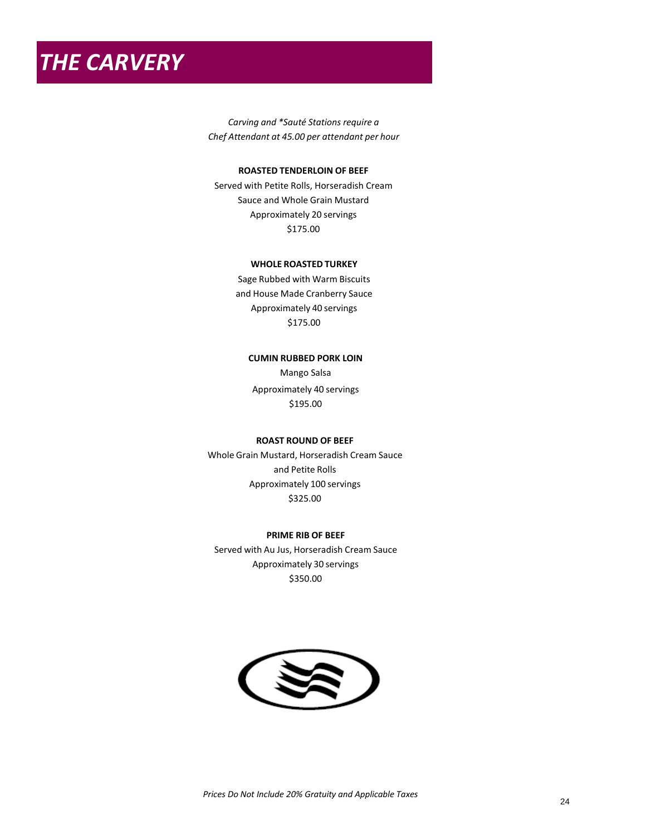*THE CARVERY*

*Carving and \*Sauté Stations require a Chef Attendant at 45.00 per attendant per hour*

### **ROASTED TENDERLOIN OF BEEF**

Served with Petite Rolls, Horseradish Cream Sauce and Whole Grain Mustard Approximately 20 servings \$175.00

### **WHOLE ROASTED TURKEY** BRESAT

Sage Rubbed with Warm Biscuits and House Made Cranberry Sauce Approximately 40 servings \$175.00

### **CUMIN RUBBED PORK LOIN**

Mango Salsa Approximately 40 servings \$195.00

### **ROAST ROUND OF BEEF**

Whole Grain Mustard, Horseradish Cream Sauce and Petite Rolls Approximately 100 servings \$325.00

### **PRIME RIB OF BEEF**

Served with Horseradish Cream Sauce Approximately 30 servings \$350.00

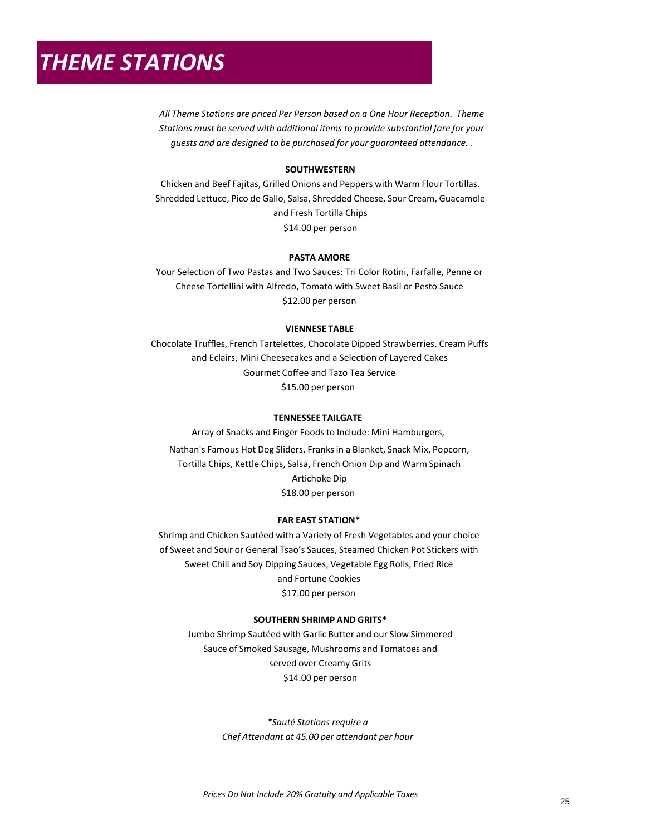# *THEME STATIONS*

*All Theme Stations are priced Per Person based on a One Hour Reception. Theme Stations must be served with additional items to provide substantial fare for your guests and are designed to be purchased for your guaranteed attendance. .*

### **SOUTHWESTERN**

Chicken and Beef Fajitas, Grilled Onions and Peppers with Warm Flour Tortillas. Shredded Lettuce, Pico de Gallo, Salsa, Shredded Cheese, Sour Cream, Guacamole and Fresh Tortilla Chips \$14.00 per person

### **PASTA AMORE**

Your Selection of Two Pastas and Two Sauces: Tri Color Rotini, Farfalle, Penne or Cheese Tortellini with Alfredo, Tomato with Sweet Basil or Pesto Sauce \$12.00 per person

### **VIENNESE TABLE**

Chocolate Truffles, French Tartelettes, Chocolate Dipped Strawberries, Cream Puffs and Eclairs, Mini Cheesecakes and a Selection of Layered Cakes Gourmet Coffee and Tazo Tea Service \$15.00 per person

### **TENNESSEE TAILGATE**

Array of Snacks and Finger Foods to Include: Mini Hamburgers,

Nathan's Famous Hot Dog Sliders, Franks in a Blanket, Snack Mix, Popcorn, Tortilla Chips, Kettle Chips, Salsa, French Onion Dip and Warm Spinach Artichoke Dip \$18.00 per person

#### **FAR EAST STATION\***

Shrimp and Chicken Sautéed with a Variety of Fresh Vegetables and your choice of Sweet and Sour or General Tsao's Sauces, Steamed Chicken Pot Stickers with Sweet Chili and Soy Dipping Sauces, Vegetable Egg Rolls, Fried Rice and Fortune Cookies \$17.00 per person

### **SOUTHERN SHRIMP AND GRITS\***

Jumbo Shrimp Sautéed with Garlic Butter and our Slow Simmered Sauce of Smoked Sausage, Mushrooms and Tomatoes and served over Creamy Grits \$14.00 per person

> *\*Sauté Stations require a Chef Attendant at 45.00 per attendant per hour*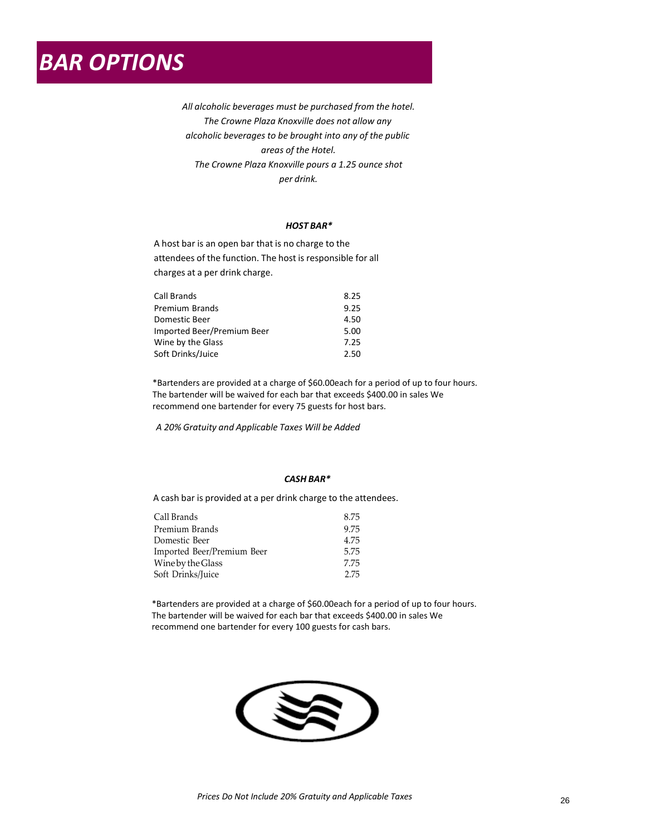*All alcoholic beverages must be purchased from the hotel. The Crowne Plaza Knoxville does not allow any alcoholic beverages to be brought into any of the public areas of the Hotel. The Crowne Plaza Knoxville pours a 1.25 ounce shot per drink.*

### *HOST BAR\**

A host bar is an open bar that is no charge to the attendees of the function. The host is responsible for all charges at a per drink charge.

| Call Brands                | 8.25 |
|----------------------------|------|
| Premium Brands             | 9.25 |
| Domestic Beer              | 4.50 |
| Imported Beer/Premium Beer | 5.00 |
| Wine by the Glass          | 7.25 |
| Soft Drinks/Juice          | 2.50 |

\*Bartenders are provided at a charge of \$60.00each for a period of up to four hours. The bartender will be waived for each bar that exceeds \$400.00 in sales We recommend one bartender for every 75 guests for host bars.

*A 20% Gratuity and Applicable Taxes Will be Added*

### *CASH BAR\**

A cash bar is provided at a per drink charge to the attendees.

| 8.75 |
|------|
| 9.75 |
| 4.75 |
| 5.75 |
| 7.75 |
| 2.75 |
|      |

\*Bartenders are provided at a charge of \$60.00each for a period of up to four hours. The bartender will be waived for each bar that exceeds \$400.00 in sales We recommend one bartender for every 100 guests for cash bars.

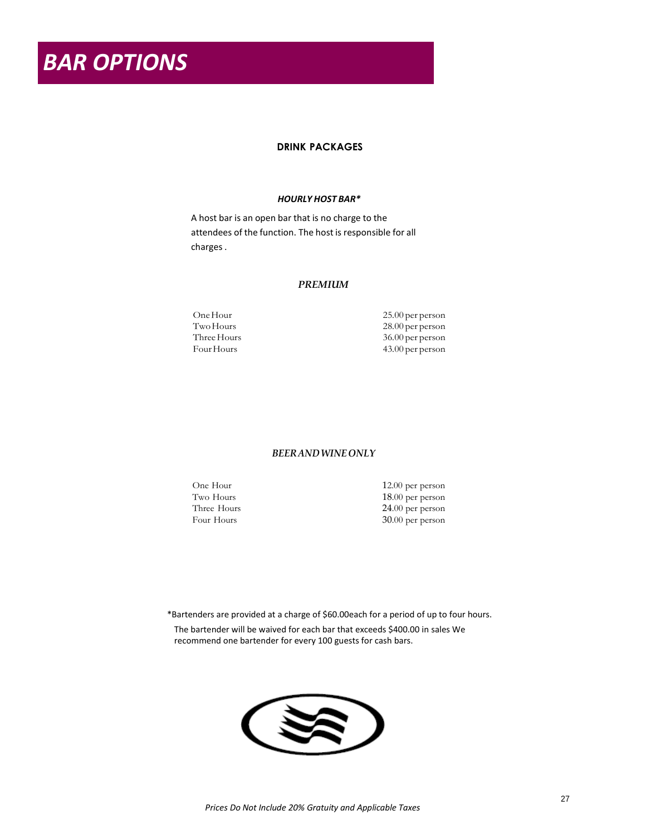*BAR OPTIONS*

### **DRINK PACKAGES**

### *HOURLY HOST BAR\**

A host bar is an open bar that is no charge to the attendees of the function. The host is responsible for all charges .

### *PREMIUM*

One Hour 25.00 per person Two Hours 28.00 per person<br>
28.00 per person<br>
26.00 per person<br>
26.00 per person Three Hours 36.00 per person<br>Four Hours 43.00 per person 43.00 per person

### *BEER AND WINE ONLY*

One Hour 12.00 per person<br>Two Hours 18.00 per person Two Hours 18.00 per person<br>Three Hours 24.00 per person 24.00 per person Four Hours 30.00 per person

\*Bartenders are provided at a charge of \$60.00each for a period of up to four hours. The bartender will be waived for each bar that exceeds \$400.00 in sales We recommend one bartender for every 100 guests for cash bars.

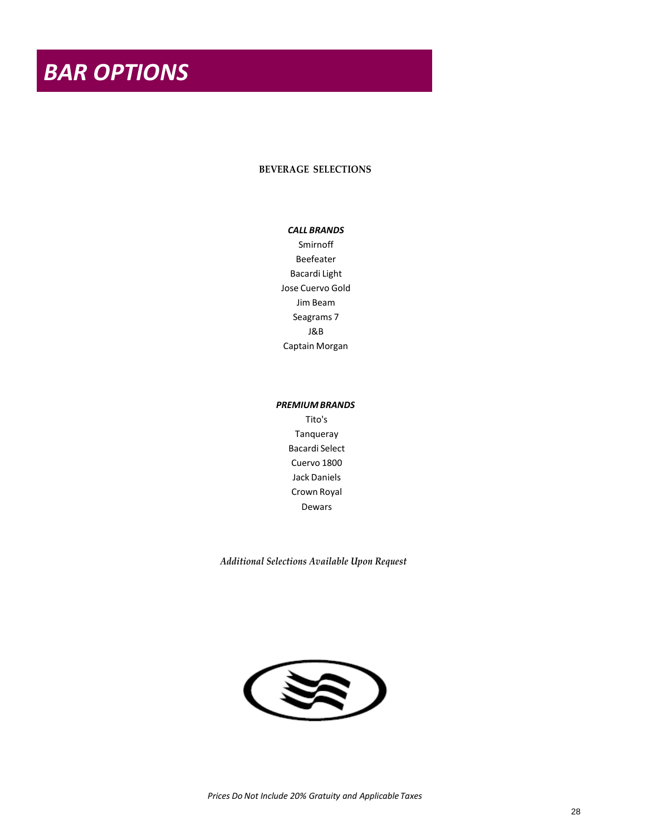### **BEVERAGE SELECTIONS**

### *CALL BRANDS*

New Amsterdam Vodka Beefeater Bacardi Light Corazon Blanco Four Roses Seagrams 7 Dewars Captain Morgan

### *PREMIUM BRANDS*

Tito's Tanqueray Bacardi Select Casa Noble Reposado Jack Daniels Crown Royal Dewars

*Additional Selections Available Upon Request*